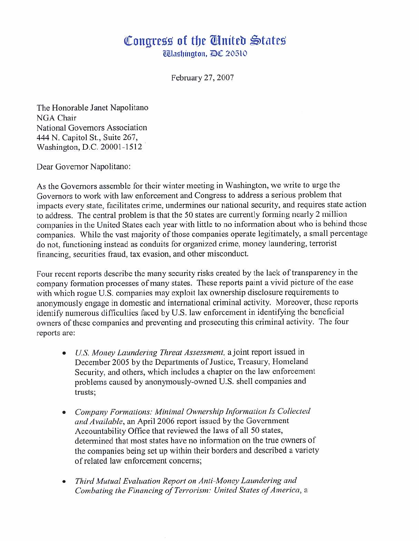# Congress of the Cinited States

**Washington, DC 20510** 

February 27, 2007

The Honorable Janet Napolitano NGA Chair National Governors Association 444 N. Capitol St., Suite 267, Washington, D.C. 20001-1512

Dear Governor Napolitano:

As the Governors assemble for their winter meeting in Washington, we write to urge the Governors to work with law enforcement and Congress to address a serious problem that impacts every state, facilitates crime, undermines our national security, and requires state action to address. The central problem is that the 50 states are currently forming nearly 2 million companies in the United States each year with little to no information about who is behind those companies. While the vast majority of those companies operate legitimately, a small percentage do not, functioning instead as conduits for organized crime, money laundering, terrorist financing, securities fraud, tax evasion, and other misconduct.

Four recent reports describe the many security risks created by the lack of transparency in the company formation processes of many states. These reports paint a vivid picture of the ease with which rogue U.S. companies may exploit lax ownership disclosure requirements to anonymously engage in domestic and international criminal activity. Moreover, these reports identify numerous difficulties faced by U.S. law enforcement in identifying the beneficial owners of these companies and preventing and prosecuting this criminal activity. The four reports are:

- U.S. Money Laundering Threat Assessment, a joint report issued in  $\bullet$ December 2005 by the Departments of Justice, Treasury, Homeland Security, and others, which includes a chapter on the law enforcement problems caused by anonymously-owned U.S. shell companies and trusts:
- Company Formations: Minimal Ownership Information Is Collected  $\bullet$ and Available, an April 2006 report issued by the Government Accountability Office that reviewed the laws of all 50 states, determined that most states have no information on the true owners of the companies being set up within their borders and described a variety of related law enforcement concerns:
- Third Mutual Evaluation Report on Anti-Money Laundering and Combating the Financing of Terrorism: United States of America, a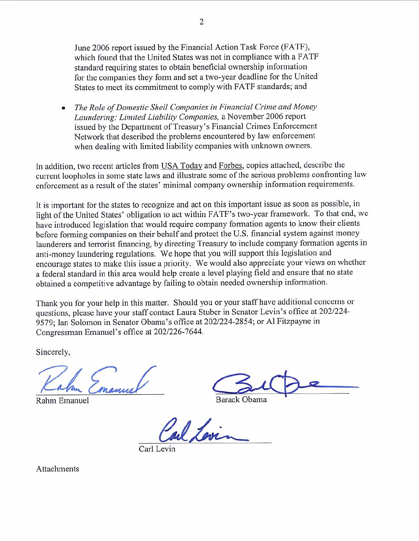June 2006 report issued by the Financial Action Task Force (FATF), which found that the United States was not in compliance with a FATF standard requiring states to obtain beneficial ownership information for the companies they form and set a two-year deadline for the United States to meet its commitment to comply with FATF standards; and

The Role of Domestic Shell Companies in Financial Crime and Money  $\bullet$ Laundering: Limited Liability Companies, a November 2006 report issued by the Department of Treasury's Financial Crimes Enforcement Network that described the problems encountered by law enforcement when dealing with limited liability companies with unknown owners.

In addition, two recent articles from USA Today and Forbes, copies attached, describe the current loopholes in some state laws and illustrate some of the serious problems confronting law enforcement as a result of the states' minimal company ownership information requirements.

It is important for the states to recognize and act on this important issue as soon as possible, in light of the United States' obligation to act within FATF's two-year framework. To that end, we have introduced legislation that would require company formation agents to know their clients before forming companies on their behalf and protect the U.S. financial system against money launderers and terrorist financing, by directing Treasury to include company formation agents in anti-money laundering regulations. We hope that you will support this legislation and encourage states to make this issue a priority. We would also appreciate your views on whether a federal standard in this area would help create a level playing field and ensure that no state obtained a competitive advantage by failing to obtain needed ownership information.

Thank you for your help in this matter. Should you or your staff have additional concerns or questions, please have your staff contact Laura Stuber in Senator Levin's office at 202/224-9579; Ian Solomon in Senator Obama's office at 202/224-2854; or Al Fitzpayne in Congressman Emanuel's office at 202/226-7644.

Sincerely,

Rahm Emanuel

Barack Obama

al fair

Carl Levin

Attachments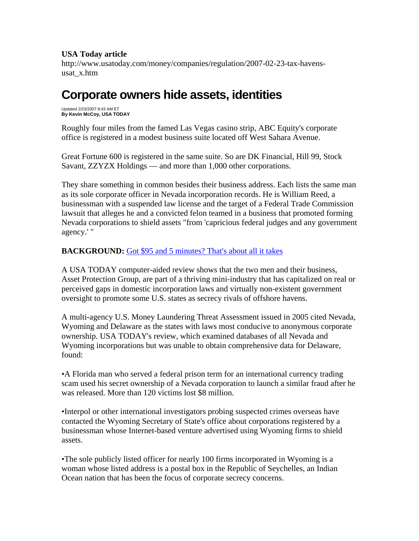# **USA Today article**

http://www.usatoday.com/money/companies/regulation/2007-02-23-tax-havensusat\_x.htm

# **Corporate owners hide assets, identities**

Updated 2/23/2007 8:43 AM ET<br>**By Kevin McCoy, USA TODAY** 

Roughly four miles from the famed Las Vegas casino strip, ABC Equity's corporate office is registered in a modest business suite located off West Sahara Avenue.

Great Fortune 600 is registered in the same suite. So are DK Financial, Hill 99, Stock Savant, ZZYZX Holdings — and more than 1,000 other corporations.

They share something in common besides their business address. Each lists the same man as its sole corporate officer in Nevada incorporation records. He is William Reed, a businessman with a suspended law license and the target of a Federal Trade Commission lawsuit that alleges he and a convicted felon teamed in a business that promoted forming Nevada corporations to shield assets "from 'capricious federal judges and any government agency.' "

# **BACKGROUND:** [Got \\$95 and 5 minutes? That's about all it takes](http://www.usatoday.com/money/companies/regulation/2007-02-23-state-side_x.htm)

A USA TODAY computer-aided review shows that the two men and their business, Asset Protection Group, are part of a thriving mini-industry that has capitalized on real or perceived gaps in domestic incorporation laws and virtually non-existent government oversight to promote some U.S. states as secrecy rivals of offshore havens.

A multi-agency U.S. Money Laundering Threat Assessment issued in 2005 cited Nevada, Wyoming and Delaware as the states with laws most conducive to anonymous corporate ownership. USA TODAY's review, which examined databases of all Nevada and Wyoming incorporations but was unable to obtain comprehensive data for Delaware, found:

•A Florida man who served a federal prison term for an international currency trading scam used his secret ownership of a Nevada corporation to launch a similar fraud after he was released. More than 120 victims lost \$8 million.

•Interpol or other international investigators probing suspected crimes overseas have contacted the Wyoming Secretary of State's office about corporations registered by a businessman whose Internet-based venture advertised using Wyoming firms to shield assets.

•The sole publicly listed officer for nearly 100 firms incorporated in Wyoming is a woman whose listed address is a postal box in the Republic of Seychelles, an Indian Ocean nation that has been the focus of corporate secrecy concerns.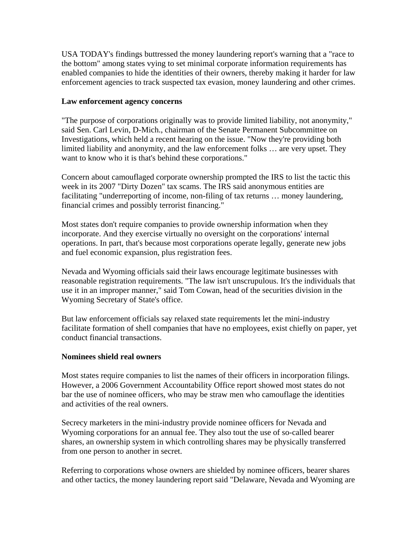USA TODAY's findings buttressed the money laundering report's warning that a "race to the bottom" among states vying to set minimal corporate information requirements has enabled companies to hide the identities of their owners, thereby making it harder for law enforcement agencies to track suspected tax evasion, money laundering and other crimes.

### **Law enforcement agency concerns**

"The purpose of corporations originally was to provide limited liability, not anonymity," said Sen. Carl Levin, D-Mich., chairman of the Senate Permanent Subcommittee on Investigations, which held a recent hearing on the issue. "Now they're providing both limited liability and anonymity, and the law enforcement folks … are very upset. They want to know who it is that's behind these corporations."

Concern about camouflaged corporate ownership prompted the IRS to list the tactic this week in its 2007 "Dirty Dozen" tax scams. The IRS said anonymous entities are facilitating "underreporting of income, non-filing of tax returns … money laundering, financial crimes and possibly terrorist financing."

Most states don't require companies to provide ownership information when they incorporate. And they exercise virtually no oversight on the corporations' internal operations. In part, that's because most corporations operate legally, generate new jobs and fuel economic expansion, plus registration fees.

Nevada and Wyoming officials said their laws encourage legitimate businesses with reasonable registration requirements. "The law isn't unscrupulous. It's the individuals that use it in an improper manner," said Tom Cowan, head of the securities division in the Wyoming Secretary of State's office.

But law enforcement officials say relaxed state requirements let the mini-industry facilitate formation of shell companies that have no employees, exist chiefly on paper, yet conduct financial transactions.

#### **Nominees shield real owners**

Most states require companies to list the names of their officers in incorporation filings. However, a 2006 Government Accountability Office report showed most states do not bar the use of nominee officers, who may be straw men who camouflage the identities and activities of the real owners.

Secrecy marketers in the mini-industry provide nominee officers for Nevada and Wyoming corporations for an annual fee. They also tout the use of so-called bearer shares, an ownership system in which controlling shares may be physically transferred from one person to another in secret.

Referring to corporations whose owners are shielded by nominee officers, bearer shares and other tactics, the money laundering report said "Delaware, Nevada and Wyoming are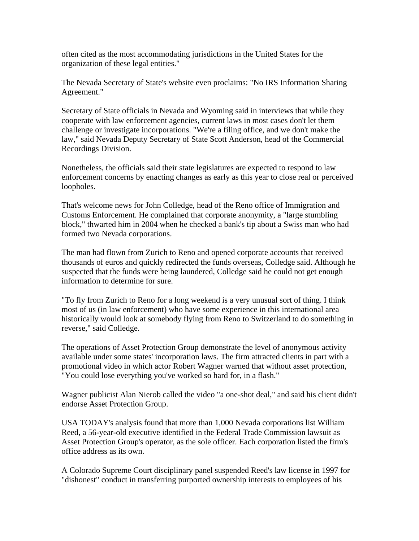often cited as the most accommodating jurisdictions in the United States for the organization of these legal entities."

The Nevada Secretary of State's website even proclaims: "No IRS Information Sharing Agreement."

Secretary of State officials in Nevada and Wyoming said in interviews that while they cooperate with law enforcement agencies, current laws in most cases don't let them challenge or investigate incorporations. "We're a filing office, and we don't make the law," said Nevada Deputy Secretary of State Scott Anderson, head of the Commercial Recordings Division.

Nonetheless, the officials said their state legislatures are expected to respond to law enforcement concerns by enacting changes as early as this year to close real or perceived loopholes.

That's welcome news for John Colledge, head of the Reno office of Immigration and Customs Enforcement. He complained that corporate anonymity, a "large stumbling block," thwarted him in 2004 when he checked a bank's tip about a Swiss man who had formed two Nevada corporations.

The man had flown from Zurich to Reno and opened corporate accounts that received thousands of euros and quickly redirected the funds overseas, Colledge said. Although he suspected that the funds were being laundered, Colledge said he could not get enough information to determine for sure.

"To fly from Zurich to Reno for a long weekend is a very unusual sort of thing. I think most of us (in law enforcement) who have some experience in this international area historically would look at somebody flying from Reno to Switzerland to do something in reverse," said Colledge.

The operations of Asset Protection Group demonstrate the level of anonymous activity available under some states' incorporation laws. The firm attracted clients in part with a promotional video in which actor Robert Wagner warned that without asset protection, "You could lose everything you've worked so hard for, in a flash."

Wagner publicist Alan Nierob called the video "a one-shot deal," and said his client didn't endorse Asset Protection Group.

USA TODAY's analysis found that more than 1,000 Nevada corporations list William Reed, a 56-year-old executive identified in the Federal Trade Commission lawsuit as Asset Protection Group's operator, as the sole officer. Each corporation listed the firm's office address as its own.

A Colorado Supreme Court disciplinary panel suspended Reed's law license in 1997 for "dishonest" conduct in transferring purported ownership interests to employees of his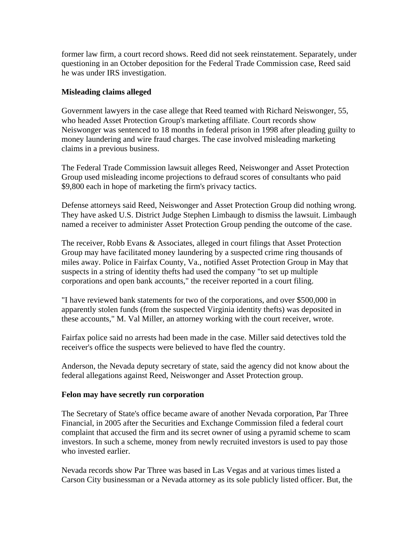former law firm, a court record shows. Reed did not seek reinstatement. Separately, under questioning in an October deposition for the Federal Trade Commission case, Reed said he was under IRS investigation.

# **Misleading claims alleged**

Government lawyers in the case allege that Reed teamed with Richard Neiswonger, 55, who headed Asset Protection Group's marketing affiliate. Court records show Neiswonger was sentenced to 18 months in federal prison in 1998 after pleading guilty to money laundering and wire fraud charges. The case involved misleading marketing claims in a previous business.

The Federal Trade Commission lawsuit alleges Reed, Neiswonger and Asset Protection Group used misleading income projections to defraud scores of consultants who paid \$9,800 each in hope of marketing the firm's privacy tactics.

Defense attorneys said Reed, Neiswonger and Asset Protection Group did nothing wrong. They have asked U.S. District Judge Stephen Limbaugh to dismiss the lawsuit. Limbaugh named a receiver to administer Asset Protection Group pending the outcome of the case.

The receiver, Robb Evans & Associates, alleged in court filings that Asset Protection Group may have facilitated money laundering by a suspected crime ring thousands of miles away. Police in Fairfax County, Va., notified Asset Protection Group in May that suspects in a string of identity thefts had used the company "to set up multiple corporations and open bank accounts," the receiver reported in a court filing.

"I have reviewed bank statements for two of the corporations, and over \$500,000 in apparently stolen funds (from the suspected Virginia identity thefts) was deposited in these accounts," M. Val Miller, an attorney working with the court receiver, wrote.

Fairfax police said no arrests had been made in the case. Miller said detectives told the receiver's office the suspects were believed to have fled the country.

Anderson, the Nevada deputy secretary of state, said the agency did not know about the federal allegations against Reed, Neiswonger and Asset Protection group.

#### **Felon may have secretly run corporation**

The Secretary of State's office became aware of another Nevada corporation, Par Three Financial, in 2005 after the Securities and Exchange Commission filed a federal court complaint that accused the firm and its secret owner of using a pyramid scheme to scam investors. In such a scheme, money from newly recruited investors is used to pay those who invested earlier.

Nevada records show Par Three was based in Las Vegas and at various times listed a Carson City businessman or a Nevada attorney as its sole publicly listed officer. But, the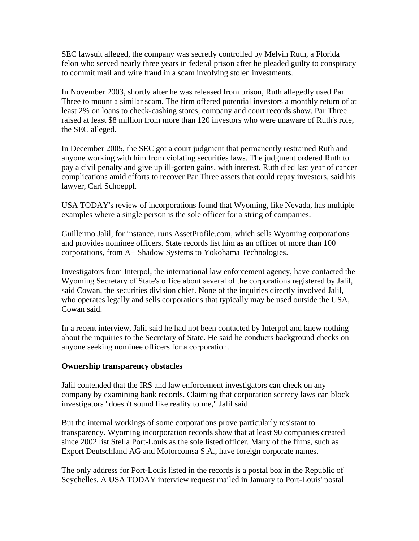SEC lawsuit alleged, the company was secretly controlled by Melvin Ruth, a Florida felon who served nearly three years in federal prison after he pleaded guilty to conspiracy to commit mail and wire fraud in a scam involving stolen investments.

In November 2003, shortly after he was released from prison, Ruth allegedly used Par Three to mount a similar scam. The firm offered potential investors a monthly return of at least 2% on loans to check-cashing stores, company and court records show. Par Three raised at least \$8 million from more than 120 investors who were unaware of Ruth's role, the SEC alleged.

In December 2005, the SEC got a court judgment that permanently restrained Ruth and anyone working with him from violating securities laws. The judgment ordered Ruth to pay a civil penalty and give up ill-gotten gains, with interest. Ruth died last year of cancer complications amid efforts to recover Par Three assets that could repay investors, said his lawyer, Carl Schoeppl.

USA TODAY's review of incorporations found that Wyoming, like Nevada, has multiple examples where a single person is the sole officer for a string of companies.

Guillermo Jalil, for instance, runs AssetProfile.com, which sells Wyoming corporations and provides nominee officers. State records list him as an officer of more than 100 corporations, from A+ Shadow Systems to Yokohama Technologies.

Investigators from Interpol, the international law enforcement agency, have contacted the Wyoming Secretary of State's office about several of the corporations registered by Jalil, said Cowan, the securities division chief. None of the inquiries directly involved Jalil, who operates legally and sells corporations that typically may be used outside the USA, Cowan said.

In a recent interview, Jalil said he had not been contacted by Interpol and knew nothing about the inquiries to the Secretary of State. He said he conducts background checks on anyone seeking nominee officers for a corporation.

#### **Ownership transparency obstacles**

Jalil contended that the IRS and law enforcement investigators can check on any company by examining bank records. Claiming that corporation secrecy laws can block investigators "doesn't sound like reality to me," Jalil said.

But the internal workings of some corporations prove particularly resistant to transparency. Wyoming incorporation records show that at least 90 companies created since 2002 list Stella Port-Louis as the sole listed officer. Many of the firms, such as Export Deutschland AG and Motorcomsa S.A., have foreign corporate names.

The only address for Port-Louis listed in the records is a postal box in the Republic of Seychelles. A USA TODAY interview request mailed in January to Port-Louis' postal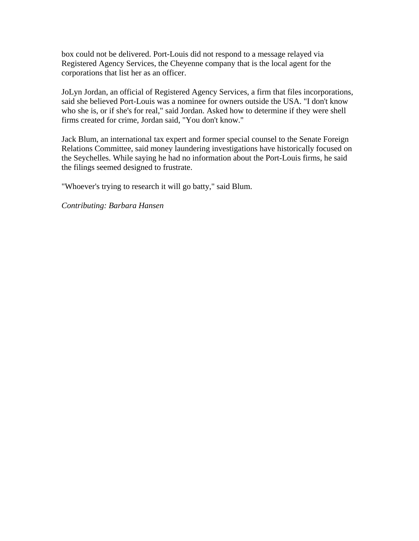box could not be delivered. Port-Louis did not respond to a message relayed via Registered Agency Services, the Cheyenne company that is the local agent for the corporations that list her as an officer.

JoLyn Jordan, an official of Registered Agency Services, a firm that files incorporations, said she believed Port-Louis was a nominee for owners outside the USA. "I don't know who she is, or if she's for real," said Jordan. Asked how to determine if they were shell firms created for crime, Jordan said, "You don't know."

Jack Blum, an international tax expert and former special counsel to the Senate Foreign Relations Committee, said money laundering investigations have historically focused on the Seychelles. While saying he had no information about the Port-Louis firms, he said the filings seemed designed to frustrate.

"Whoever's trying to research it will go batty," said Blum.

*Contributing: Barbara Hansen*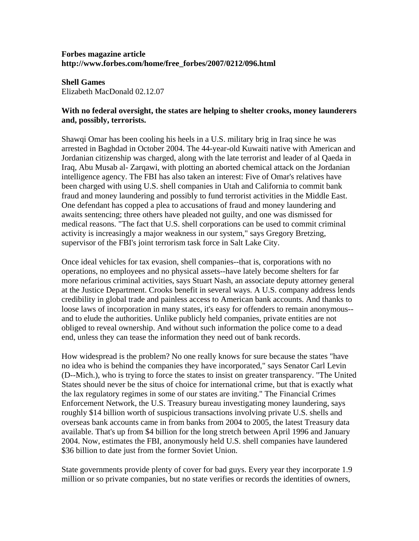### **Forbes magazine article http://www.forbes.com/home/free\_forbes/2007/0212/096.html**

**Shell Games** Elizabeth MacDonald 02.12.07

# **With no federal oversight, the states are helping to shelter crooks, money launderers and, possibly, terrorists.**

Shawqi Omar has been cooling his heels in a U.S. military brig in Iraq since he was arrested in Baghdad in October 2004. The 44-year-old Kuwaiti native with American and Jordanian citizenship was charged, along with the late terrorist and leader of al Qaeda in Iraq, Abu Musab al- Zarqawi, with plotting an aborted chemical attack on the Jordanian intelligence agency. The FBI has also taken an interest: Five of Omar's relatives have been charged with using U.S. shell companies in Utah and California to commit bank fraud and money laundering and possibly to fund terrorist activities in the Middle East. One defendant has copped a plea to accusations of fraud and money laundering and awaits sentencing; three others have pleaded not guilty, and one was dismissed for medical reasons. "The fact that U.S. shell corporations can be used to commit criminal activity is increasingly a major weakness in our system," says Gregory Bretzing, supervisor of the FBI's joint terrorism task force in Salt Lake City.

Once ideal vehicles for tax evasion, shell companies--that is, corporations with no operations, no employees and no physical assets--have lately become shelters for far more nefarious criminal activities, says Stuart Nash, an associate deputy attorney general at the Justice Department. Crooks benefit in several ways. A U.S. company address lends credibility in global trade and painless access to American bank accounts. And thanks to loose laws of incorporation in many states, it's easy for offenders to remain anonymous- and to elude the authorities. Unlike publicly held companies, private entities are not obliged to reveal ownership. And without such information the police come to a dead end, unless they can tease the information they need out of bank records.

How widespread is the problem? No one really knows for sure because the states "have no idea who is behind the companies they have incorporated," says Senator Carl Levin (D--Mich.), who is trying to force the states to insist on greater transparency. "The United States should never be the situs of choice for international crime, but that is exactly what the lax regulatory regimes in some of our states are inviting." The Financial Crimes Enforcement Network, the U.S. Treasury bureau investigating money laundering, says roughly \$14 billion worth of suspicious transactions involving private U.S. shells and overseas bank accounts came in from banks from 2004 to 2005, the latest Treasury data available. That's up from \$4 billion for the long stretch between April 1996 and January 2004. Now, estimates the FBI, anonymously held U.S. shell companies have laundered \$36 billion to date just from the former Soviet Union.

State governments provide plenty of cover for bad guys. Every year they incorporate 1.9 million or so private companies, but no state verifies or records the identities of owners,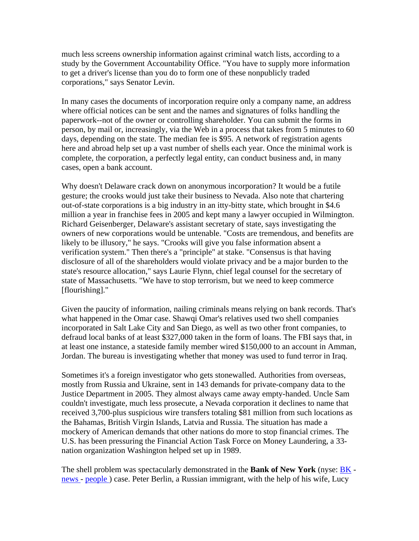much less screens ownership information against criminal watch lists, according to a study by the Government Accountability Office. "You have to supply more information to get a driver's license than you do to form one of these nonpublicly traded corporations," says Senator Levin.

In many cases the documents of incorporation require only a company name, an address where official notices can be sent and the names and signatures of folks handling the paperwork--not of the owner or controlling shareholder. You can submit the forms in person, by mail or, increasingly, via the Web in a process that takes from 5 minutes to 60 days, depending on the state. The median fee is \$95. A network of registration agents here and abroad help set up a vast number of shells each year. Once the minimal work is complete, the corporation, a perfectly legal entity, can conduct business and, in many cases, open a bank account.

Why doesn't Delaware crack down on anonymous incorporation? It would be a futile gesture; the crooks would just take their business to Nevada. Also note that chartering out-of-state corporations is a big industry in an itty-bitty state, which brought in \$4.6 million a year in franchise fees in 2005 and kept many a lawyer occupied in Wilmington. Richard Geisenberger, Delaware's assistant secretary of state, says investigating the owners of new corporations would be untenable. "Costs are tremendous, and benefits are likely to be illusory," he says. "Crooks will give you false information absent a verification system." Then there's a "principle" at stake. "Consensus is that having disclosure of all of the shareholders would violate privacy and be a major burden to the state's resource allocation," says Laurie Flynn, chief legal counsel for the secretary of state of Massachusetts. "We have to stop terrorism, but we need to keep commerce [flourishing]."

Given the paucity of information, nailing criminals means relying on bank records. That's what happened in the Omar case. Shawqi Omar's relatives used two shell companies incorporated in Salt Lake City and San Diego, as well as two other front companies, to defraud local banks of at least \$327,000 taken in the form of loans. The FBI says that, in at least one instance, a stateside family member wired \$150,000 to an account in Amman, Jordan. The bureau is investigating whether that money was used to fund terror in Iraq.

Sometimes it's a foreign investigator who gets stonewalled. Authorities from overseas, mostly from Russia and Ukraine, sent in 143 demands for private-company data to the Justice Department in 2005. They almost always came away empty-handed. Uncle Sam couldn't investigate, much less prosecute, a Nevada corporation it declines to name that received 3,700-plus suspicious wire transfers totaling \$81 million from such locations as the Bahamas, British Virgin Islands, Latvia and Russia. The situation has made a mockery of American demands that other nations do more to stop financial crimes. The U.S. has been pressuring the Financial Action Task Force on Money Laundering, a 33 nation organization Washington helped set up in 1989.

The shell problem was spectacularly demonstrated in the **Bank of New York** (nyse: [BK](http://finapps.forbes.com/finapps/jsp/finance/compinfo/CIAtAGlance.jsp?tkr=BK)  [news -](http://www.forbes.com/markets/company_news.jhtml?ticker=BK) people) case. Peter Berlin, a Russian immigrant, with the help of his wife, Lucy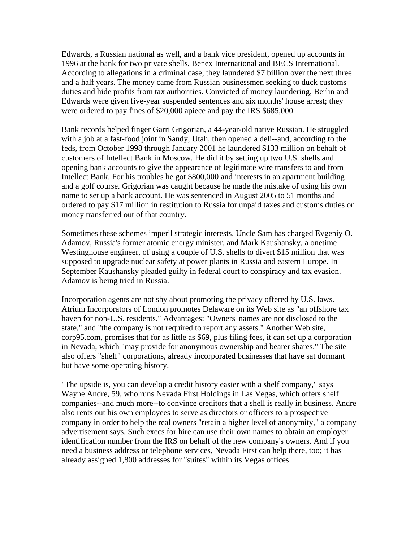Edwards, a Russian national as well, and a bank vice president, opened up accounts in 1996 at the bank for two private shells, Benex International and BECS International. According to allegations in a criminal case, they laundered \$7 billion over the next three and a half years. The money came from Russian businessmen seeking to duck customs duties and hide profits from tax authorities. Convicted of money laundering, Berlin and Edwards were given five-year suspended sentences and six months' house arrest; they were ordered to pay fines of \$20,000 apiece and pay the IRS \$685,000.

Bank records helped finger Garri Grigorian, a 44-year-old native Russian. He struggled with a job at a fast-food joint in Sandy, Utah, then opened a deli--and, according to the feds, from October 1998 through January 2001 he laundered \$133 million on behalf of customers of Intellect Bank in Moscow. He did it by setting up two U.S. shells and opening bank accounts to give the appearance of legitimate wire transfers to and from Intellect Bank. For his troubles he got \$800,000 and interests in an apartment building and a golf course. Grigorian was caught because he made the mistake of using his own name to set up a bank account. He was sentenced in August 2005 to 51 months and ordered to pay \$17 million in restitution to Russia for unpaid taxes and customs duties on money transferred out of that country.

Sometimes these schemes imperil strategic interests. Uncle Sam has charged Evgeniy O. Adamov, Russia's former atomic energy minister, and Mark Kaushansky, a onetime Westinghouse engineer, of using a couple of U.S. shells to divert \$15 million that was supposed to upgrade nuclear safety at power plants in Russia and eastern Europe. In September Kaushansky pleaded guilty in federal court to conspiracy and tax evasion. Adamov is being tried in Russia.

Incorporation agents are not shy about promoting the privacy offered by U.S. laws. Atrium Incorporators of London promotes Delaware on its Web site as "an offshore tax haven for non-U.S. residents." Advantages: "Owners' names are not disclosed to the state," and "the company is not required to report any assets." Another Web site, corp95.com, promises that for as little as \$69, plus filing fees, it can set up a corporation in Nevada, which "may provide for anonymous ownership and bearer shares." The site also offers "shelf" corporations, already incorporated businesses that have sat dormant but have some operating history.

"The upside is, you can develop a credit history easier with a shelf company," says Wayne Andre, 59, who runs Nevada First Holdings in Las Vegas, which offers shelf companies--and much more--to convince creditors that a shell is really in business. Andre also rents out his own employees to serve as directors or officers to a prospective company in order to help the real owners "retain a higher level of anonymity," a company advertisement says. Such execs for hire can use their own names to obtain an employer identification number from the IRS on behalf of the new company's owners. And if you need a business address or telephone services, Nevada First can help there, too; it has already assigned 1,800 addresses for "suites" within its Vegas offices.